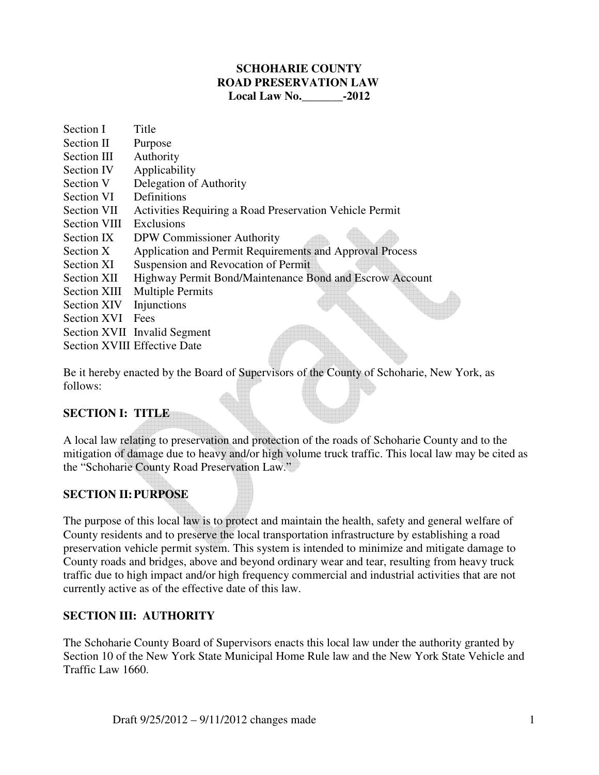#### **SCHOHARIE COUNTY ROAD PRESERVATION LAW Local Law No.\_\_\_\_\_\_\_-2012**

Section I Title Section II Purpose Section III Authority Section IV Applicability Section V Delegation of Authority Section VI Definitions Section VII Activities Requiring a Road Preservation Vehicle Permit Section VIII Exclusions Section IX DPW Commissioner Authority Section X Application and Permit Requirements and Approval Process Section XI Suspension and Revocation of Permit Section XII Highway Permit Bond/Maintenance Bond and Escrow Account Section XIII Multiple Permits<br>Section XIV Injunctions Section XIV Section XVI Fees Section XVII Invalid Segment Section XVIII Effective Date

Be it hereby enacted by the Board of Supervisors of the County of Schoharie, New York, as follows:

#### **SECTION I: TITLE**

A local law relating to preservation and protection of the roads of Schoharie County and to the mitigation of damage due to heavy and/or high volume truck traffic. This local law may be cited as the "Schoharie County Road Preservation Law."

#### **SECTION II: PURPOSE**

The purpose of this local law is to protect and maintain the health, safety and general welfare of County residents and to preserve the local transportation infrastructure by establishing a road preservation vehicle permit system. This system is intended to minimize and mitigate damage to County roads and bridges, above and beyond ordinary wear and tear, resulting from heavy truck traffic due to high impact and/or high frequency commercial and industrial activities that are not currently active as of the effective date of this law.

#### **SECTION III: AUTHORITY**

The Schoharie County Board of Supervisors enacts this local law under the authority granted by Section 10 of the New York State Municipal Home Rule law and the New York State Vehicle and Traffic Law 1660.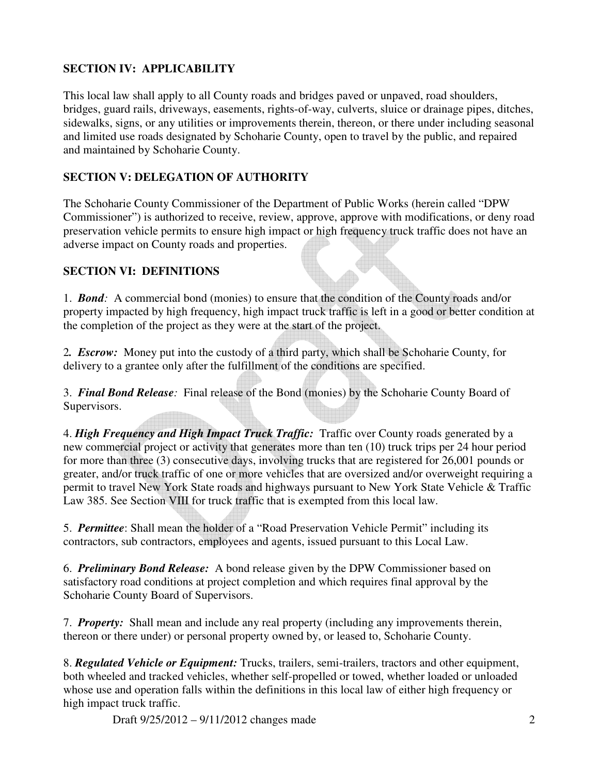# **SECTION IV: APPLICABILITY**

This local law shall apply to all County roads and bridges paved or unpaved, road shoulders, bridges, guard rails, driveways, easements, rights-of-way, culverts, sluice or drainage pipes, ditches, sidewalks, signs, or any utilities or improvements therein, thereon, or there under including seasonal and limited use roads designated by Schoharie County, open to travel by the public, and repaired and maintained by Schoharie County.

# **SECTION V: DELEGATION OF AUTHORITY**

The Schoharie County Commissioner of the Department of Public Works (herein called "DPW Commissioner") is authorized to receive, review, approve, approve with modifications, or deny road preservation vehicle permits to ensure high impact or high frequency truck traffic does not have an adverse impact on County roads and properties.

# **SECTION VI: DEFINITIONS**

1. *Bond:* A commercial bond (monies) to ensure that the condition of the County roads and/or property impacted by high frequency, high impact truck traffic is left in a good or better condition at the completion of the project as they were at the start of the project.

2*. Escrow:* Money put into the custody of a third party, which shall be Schoharie County, for delivery to a grantee only after the fulfillment of the conditions are specified.

3. *Final Bond Release:* Final release of the Bond (monies) by the Schoharie County Board of Supervisors.

4. *High Frequency and High Impact Truck Traffic:* Traffic over County roads generated by a new commercial project or activity that generates more than ten (10) truck trips per 24 hour period for more than three (3) consecutive days, involving trucks that are registered for 26,001 pounds or greater, and/or truck traffic of one or more vehicles that are oversized and/or overweight requiring a permit to travel New York State roads and highways pursuant to New York State Vehicle & Traffic Law 385. See Section VIII for truck traffic that is exempted from this local law.

5. *Permittee*: Shall mean the holder of a "Road Preservation Vehicle Permit" including its contractors, sub contractors, employees and agents, issued pursuant to this Local Law.

6. *Preliminary Bond Release:* A bond release given by the DPW Commissioner based on satisfactory road conditions at project completion and which requires final approval by the Schoharie County Board of Supervisors.

7. *Property:* Shall mean and include any real property (including any improvements therein, thereon or there under) or personal property owned by, or leased to, Schoharie County.

8. *Regulated Vehicle or Equipment:* Trucks, trailers, semi-trailers, tractors and other equipment, both wheeled and tracked vehicles, whether self-propelled or towed, whether loaded or unloaded whose use and operation falls within the definitions in this local law of either high frequency or high impact truck traffic.

Draft 9/25/2012 – 9/11/2012 changes made 2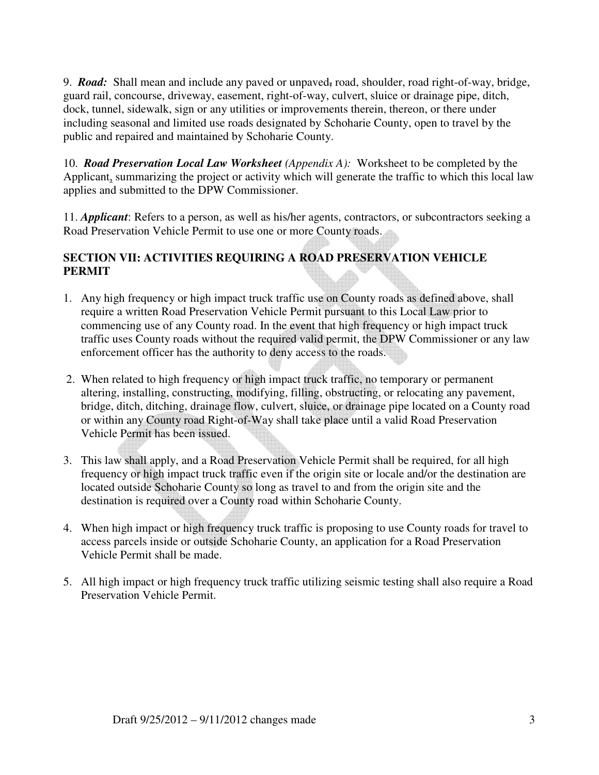9. *Road*: Shall mean and include any paved or unpaved<sub>r</sub> road, shoulder, road right-of-way, bridge, guard rail, concourse, driveway, easement, right-of-way, culvert, sluice or drainage pipe, ditch, dock, tunnel, sidewalk, sign or any utilities or improvements therein, thereon, or there under including seasonal and limited use roads designated by Schoharie County, open to travel by the public and repaired and maintained by Schoharie County.

10. *Road Preservation Local Law Worksheet (Appendix A):* Worksheet to be completed by the Applicant, summarizing the project or activity which will generate the traffic to which this local law applies and submitted to the DPW Commissioner.

11. *Applicant*: Refers to a person, as well as his/her agents, contractors, or subcontractors seeking a Road Preservation Vehicle Permit to use one or more County roads.

# **SECTION VII: ACTIVITIES REQUIRING A ROAD PRESERVATION VEHICLE PERMIT**

- 1. Any high frequency or high impact truck traffic use on County roads as defined above, shall require a written Road Preservation Vehicle Permit pursuant to this Local Law prior to commencing use of any County road. In the event that high frequency or high impact truck traffic uses County roads without the required valid permit, the DPW Commissioner or any law enforcement officer has the authority to deny access to the roads.
- 2. When related to high frequency or high impact truck traffic, no temporary or permanent altering, installing, constructing, modifying, filling, obstructing, or relocating any pavement, bridge, ditch, ditching, drainage flow, culvert, sluice, or drainage pipe located on a County road or within any County road Right-of-Way shall take place until a valid Road Preservation Vehicle Permit has been issued.
- 3. This law shall apply, and a Road Preservation Vehicle Permit shall be required, for all high frequency or high impact truck traffic even if the origin site or locale and/or the destination are located outside Schoharie County so long as travel to and from the origin site and the destination is required over a County road within Schoharie County.
- 4. When high impact or high frequency truck traffic is proposing to use County roads for travel to access parcels inside or outside Schoharie County, an application for a Road Preservation Vehicle Permit shall be made.
- 5. All high impact or high frequency truck traffic utilizing seismic testing shall also require a Road Preservation Vehicle Permit.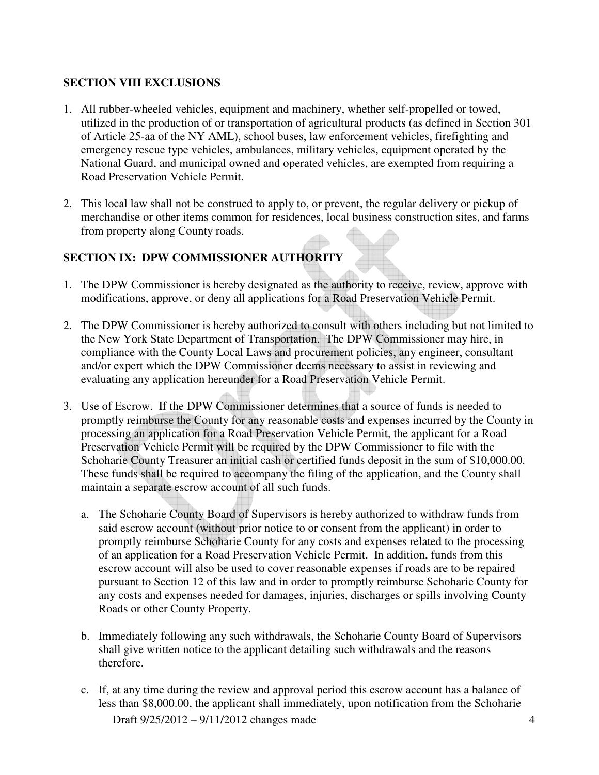# **SECTION VIII EXCLUSIONS**

- 1. All rubber-wheeled vehicles, equipment and machinery, whether self-propelled or towed, utilized in the production of or transportation of agricultural products (as defined in Section 301 of Article 25-aa of the NY AML), school buses, law enforcement vehicles, firefighting and emergency rescue type vehicles, ambulances, military vehicles, equipment operated by the National Guard, and municipal owned and operated vehicles, are exempted from requiring a Road Preservation Vehicle Permit.
- 2. This local law shall not be construed to apply to, or prevent, the regular delivery or pickup of merchandise or other items common for residences, local business construction sites, and farms from property along County roads.

# **SECTION IX: DPW COMMISSIONER AUTHORITY**

- 1. The DPW Commissioner is hereby designated as the authority to receive, review, approve with modifications, approve, or deny all applications for a Road Preservation Vehicle Permit.
- 2. The DPW Commissioner is hereby authorized to consult with others including but not limited to the New York State Department of Transportation. The DPW Commissioner may hire, in compliance with the County Local Laws and procurement policies, any engineer, consultant and/or expert which the DPW Commissioner deems necessary to assist in reviewing and evaluating any application hereunder for a Road Preservation Vehicle Permit.
- 3. Use of Escrow. If the DPW Commissioner determines that a source of funds is needed to promptly reimburse the County for any reasonable costs and expenses incurred by the County in processing an application for a Road Preservation Vehicle Permit, the applicant for a Road Preservation Vehicle Permit will be required by the DPW Commissioner to file with the Schoharie County Treasurer an initial cash or certified funds deposit in the sum of \$10,000.00. These funds shall be required to accompany the filing of the application, and the County shall maintain a separate escrow account of all such funds.
	- a. The Schoharie County Board of Supervisors is hereby authorized to withdraw funds from said escrow account (without prior notice to or consent from the applicant) in order to promptly reimburse Schoharie County for any costs and expenses related to the processing of an application for a Road Preservation Vehicle Permit. In addition, funds from this escrow account will also be used to cover reasonable expenses if roads are to be repaired pursuant to Section 12 of this law and in order to promptly reimburse Schoharie County for any costs and expenses needed for damages, injuries, discharges or spills involving County Roads or other County Property.
	- b. Immediately following any such withdrawals, the Schoharie County Board of Supervisors shall give written notice to the applicant detailing such withdrawals and the reasons therefore.
	- Draft 9/25/2012 9/11/2012 changes made 4 c. If, at any time during the review and approval period this escrow account has a balance of less than \$8,000.00, the applicant shall immediately, upon notification from the Schoharie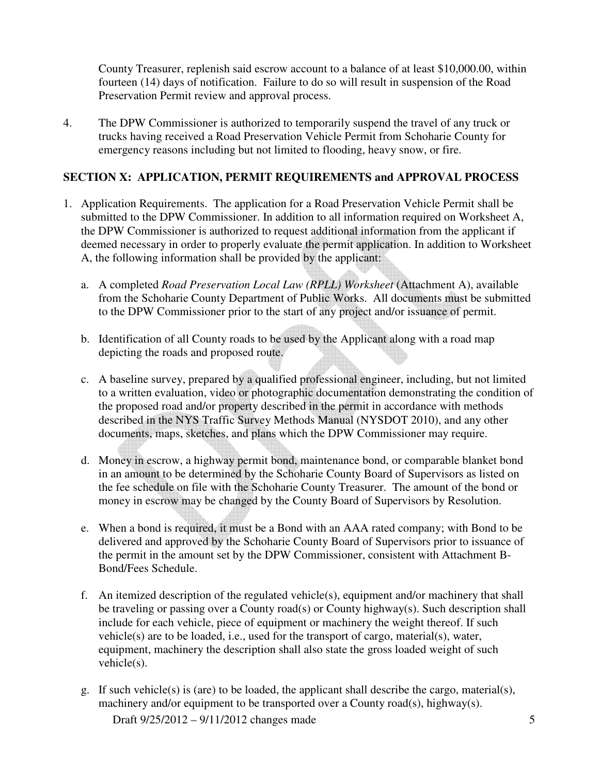County Treasurer, replenish said escrow account to a balance of at least \$10,000.00, within fourteen (14) days of notification. Failure to do so will result in suspension of the Road Preservation Permit review and approval process.

4. The DPW Commissioner is authorized to temporarily suspend the travel of any truck or trucks having received a Road Preservation Vehicle Permit from Schoharie County for emergency reasons including but not limited to flooding, heavy snow, or fire.

### **SECTION X: APPLICATION, PERMIT REQUIREMENTS and APPROVAL PROCESS**

- 1. Application Requirements. The application for a Road Preservation Vehicle Permit shall be submitted to the DPW Commissioner. In addition to all information required on Worksheet A, the DPW Commissioner is authorized to request additional information from the applicant if deemed necessary in order to properly evaluate the permit application. In addition to Worksheet A, the following information shall be provided by the applicant:
	- a. A completed *Road Preservation Local Law (RPLL) Worksheet* (Attachment A), available from the Schoharie County Department of Public Works. All documents must be submitted to the DPW Commissioner prior to the start of any project and/or issuance of permit.
	- b. Identification of all County roads to be used by the Applicant along with a road map depicting the roads and proposed route.
	- c. A baseline survey, prepared by a qualified professional engineer, including, but not limited to a written evaluation, video or photographic documentation demonstrating the condition of the proposed road and/or property described in the permit in accordance with methods described in the NYS Traffic Survey Methods Manual (NYSDOT 2010), and any other documents, maps, sketches, and plans which the DPW Commissioner may require.
	- d. Money in escrow, a highway permit bond, maintenance bond, or comparable blanket bond in an amount to be determined by the Schoharie County Board of Supervisors as listed on the fee schedule on file with the Schoharie County Treasurer. The amount of the bond or money in escrow may be changed by the County Board of Supervisors by Resolution.
	- e. When a bond is required, it must be a Bond with an AAA rated company; with Bond to be delivered and approved by the Schoharie County Board of Supervisors prior to issuance of the permit in the amount set by the DPW Commissioner, consistent with Attachment B-Bond/Fees Schedule.
	- f. An itemized description of the regulated vehicle(s), equipment and/or machinery that shall be traveling or passing over a County road(s) or County highway(s). Such description shall include for each vehicle, piece of equipment or machinery the weight thereof. If such vehicle(s) are to be loaded, i.e., used for the transport of cargo, material(s), water, equipment, machinery the description shall also state the gross loaded weight of such vehicle(s).
	- Draft  $9/25/2012 9/11/2012$  changes made 5 g. If such vehicle(s) is (are) to be loaded, the applicant shall describe the cargo, material(s), machinery and/or equipment to be transported over a County road(s), highway(s).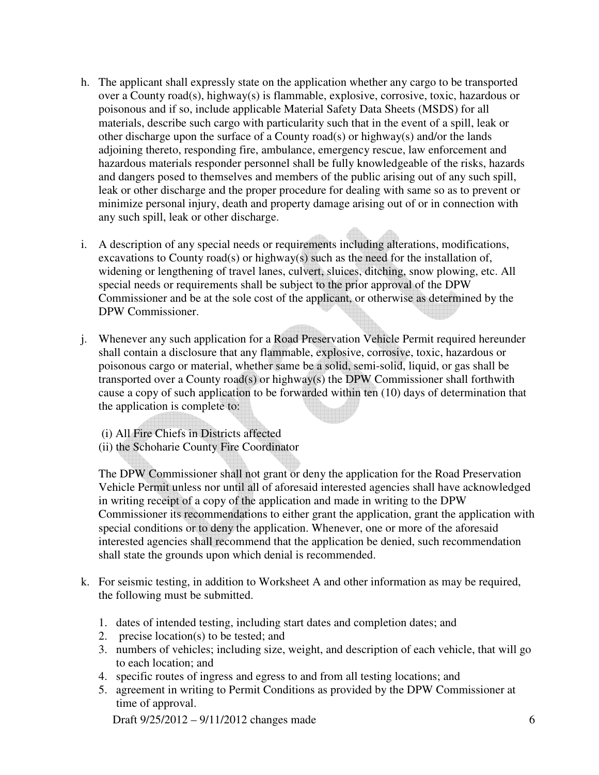- h. The applicant shall expressly state on the application whether any cargo to be transported over a County road(s), highway(s) is flammable, explosive, corrosive, toxic, hazardous or poisonous and if so, include applicable Material Safety Data Sheets (MSDS) for all materials, describe such cargo with particularity such that in the event of a spill, leak or other discharge upon the surface of a County road(s) or highway(s) and/or the lands adjoining thereto, responding fire, ambulance, emergency rescue, law enforcement and hazardous materials responder personnel shall be fully knowledgeable of the risks, hazards and dangers posed to themselves and members of the public arising out of any such spill, leak or other discharge and the proper procedure for dealing with same so as to prevent or minimize personal injury, death and property damage arising out of or in connection with any such spill, leak or other discharge.
- i. A description of any special needs or requirements including alterations, modifications, excavations to County road(s) or highway(s) such as the need for the installation of, widening or lengthening of travel lanes, culvert, sluices, ditching, snow plowing, etc. All special needs or requirements shall be subject to the prior approval of the DPW Commissioner and be at the sole cost of the applicant, or otherwise as determined by the DPW Commissioner.
- j. Whenever any such application for a Road Preservation Vehicle Permit required hereunder shall contain a disclosure that any flammable, explosive, corrosive, toxic, hazardous or poisonous cargo or material, whether same be a solid, semi-solid, liquid, or gas shall be transported over a County road(s) or highway(s) the DPW Commissioner shall forthwith cause a copy of such application to be forwarded within ten (10) days of determination that the application is complete to:
	- (i) All Fire Chiefs in Districts affected
	- (ii) the Schoharie County Fire Coordinator

The DPW Commissioner shall not grant or deny the application for the Road Preservation Vehicle Permit unless nor until all of aforesaid interested agencies shall have acknowledged in writing receipt of a copy of the application and made in writing to the DPW Commissioner its recommendations to either grant the application, grant the application with special conditions or to deny the application. Whenever, one or more of the aforesaid interested agencies shall recommend that the application be denied, such recommendation shall state the grounds upon which denial is recommended.

- k. For seismic testing, in addition to Worksheet A and other information as may be required, the following must be submitted.
	- 1. dates of intended testing, including start dates and completion dates; and
	- 2. precise location(s) to be tested; and
	- 3. numbers of vehicles; including size, weight, and description of each vehicle, that will go to each location; and
	- 4. specific routes of ingress and egress to and from all testing locations; and
	- 5. agreement in writing to Permit Conditions as provided by the DPW Commissioner at time of approval.

Draft 9/25/2012 – 9/11/2012 changes made 6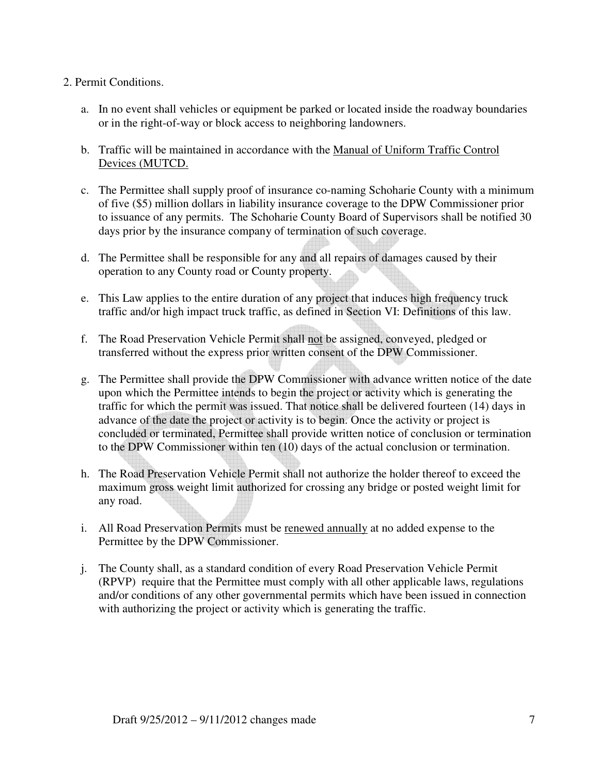#### 2. Permit Conditions.

- a. In no event shall vehicles or equipment be parked or located inside the roadway boundaries or in the right-of-way or block access to neighboring landowners.
- b. Traffic will be maintained in accordance with the Manual of Uniform Traffic Control Devices (MUTCD.
- c. The Permittee shall supply proof of insurance co-naming Schoharie County with a minimum of five (\$5) million dollars in liability insurance coverage to the DPW Commissioner prior to issuance of any permits. The Schoharie County Board of Supervisors shall be notified 30 days prior by the insurance company of termination of such coverage.
- d. The Permittee shall be responsible for any and all repairs of damages caused by their operation to any County road or County property.
- e. This Law applies to the entire duration of any project that induces high frequency truck traffic and/or high impact truck traffic, as defined in Section VI: Definitions of this law.
- f. The Road Preservation Vehicle Permit shall not be assigned, conveyed, pledged or transferred without the express prior written consent of the DPW Commissioner.
- g. The Permittee shall provide the DPW Commissioner with advance written notice of the date upon which the Permittee intends to begin the project or activity which is generating the traffic for which the permit was issued. That notice shall be delivered fourteen (14) days in advance of the date the project or activity is to begin. Once the activity or project is concluded or terminated, Permittee shall provide written notice of conclusion or termination to the DPW Commissioner within ten (10) days of the actual conclusion or termination.
- h. The Road Preservation Vehicle Permit shall not authorize the holder thereof to exceed the maximum gross weight limit authorized for crossing any bridge or posted weight limit for any road.
- i. All Road Preservation Permits must be renewed annually at no added expense to the Permittee by the DPW Commissioner.
- j. The County shall, as a standard condition of every Road Preservation Vehicle Permit (RPVP) require that the Permittee must comply with all other applicable laws, regulations and/or conditions of any other governmental permits which have been issued in connection with authorizing the project or activity which is generating the traffic.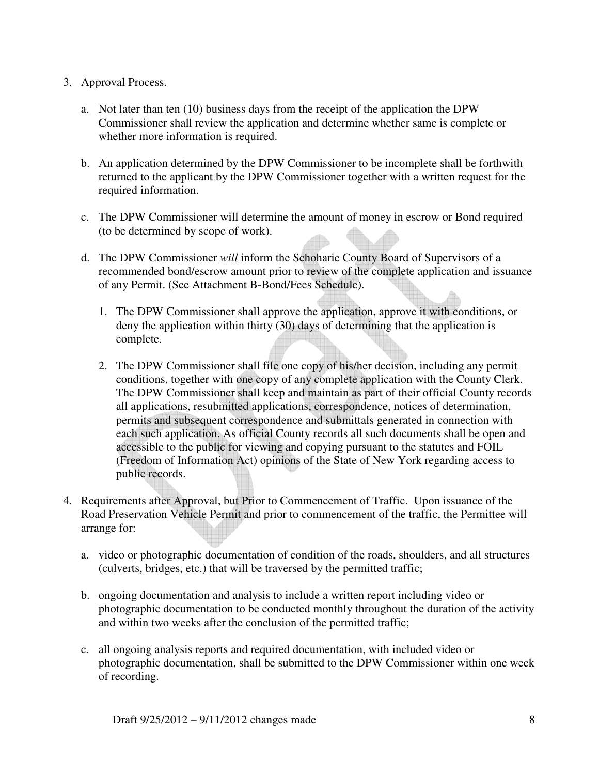#### 3. Approval Process.

- a. Not later than ten (10) business days from the receipt of the application the DPW Commissioner shall review the application and determine whether same is complete or whether more information is required.
- b. An application determined by the DPW Commissioner to be incomplete shall be forthwith returned to the applicant by the DPW Commissioner together with a written request for the required information.
- c. The DPW Commissioner will determine the amount of money in escrow or Bond required (to be determined by scope of work).
- d. The DPW Commissioner *will* inform the Schoharie County Board of Supervisors of a recommended bond/escrow amount prior to review of the complete application and issuance of any Permit. (See Attachment B-Bond/Fees Schedule).
	- 1. The DPW Commissioner shall approve the application, approve it with conditions, or deny the application within thirty (30) days of determining that the application is complete.
	- 2. The DPW Commissioner shall file one copy of his/her decision, including any permit conditions, together with one copy of any complete application with the County Clerk. The DPW Commissioner shall keep and maintain as part of their official County records all applications, resubmitted applications, correspondence, notices of determination, permits and subsequent correspondence and submittals generated in connection with each such application. As official County records all such documents shall be open and accessible to the public for viewing and copying pursuant to the statutes and FOIL (Freedom of Information Act) opinions of the State of New York regarding access to public records.
- 4. Requirements after Approval, but Prior to Commencement of Traffic. Upon issuance of the Road Preservation Vehicle Permit and prior to commencement of the traffic, the Permittee will arrange for:
	- a. video or photographic documentation of condition of the roads, shoulders, and all structures (culverts, bridges, etc.) that will be traversed by the permitted traffic;
	- b. ongoing documentation and analysis to include a written report including video or photographic documentation to be conducted monthly throughout the duration of the activity and within two weeks after the conclusion of the permitted traffic;
	- c. all ongoing analysis reports and required documentation, with included video or photographic documentation, shall be submitted to the DPW Commissioner within one week of recording.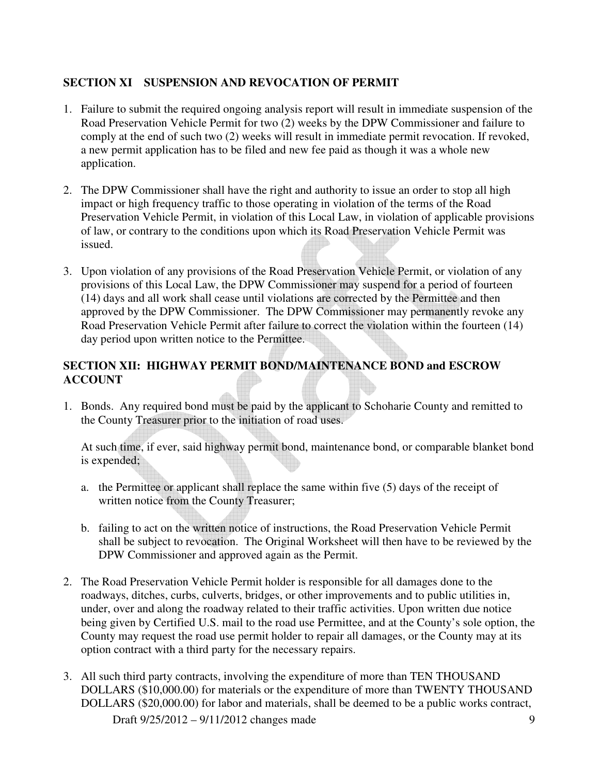# **SECTION XI SUSPENSION AND REVOCATION OF PERMIT**

- 1. Failure to submit the required ongoing analysis report will result in immediate suspension of the Road Preservation Vehicle Permit for two (2) weeks by the DPW Commissioner and failure to comply at the end of such two (2) weeks will result in immediate permit revocation. If revoked, a new permit application has to be filed and new fee paid as though it was a whole new application.
- 2. The DPW Commissioner shall have the right and authority to issue an order to stop all high impact or high frequency traffic to those operating in violation of the terms of the Road Preservation Vehicle Permit, in violation of this Local Law, in violation of applicable provisions of law, or contrary to the conditions upon which its Road Preservation Vehicle Permit was issued.
- 3. Upon violation of any provisions of the Road Preservation Vehicle Permit, or violation of any provisions of this Local Law, the DPW Commissioner may suspend for a period of fourteen (14) days and all work shall cease until violations are corrected by the Permittee and then approved by the DPW Commissioner. The DPW Commissioner may permanently revoke any Road Preservation Vehicle Permit after failure to correct the violation within the fourteen (14) day period upon written notice to the Permittee.

# **SECTION XII: HIGHWAY PERMIT BOND/MAINTENANCE BOND and ESCROW ACCOUNT**

1. Bonds. Any required bond must be paid by the applicant to Schoharie County and remitted to the County Treasurer prior to the initiation of road uses.

At such time, if ever, said highway permit bond, maintenance bond, or comparable blanket bond is expended;

- a. the Permittee or applicant shall replace the same within five (5) days of the receipt of written notice from the County Treasurer;
- b. failing to act on the written notice of instructions, the Road Preservation Vehicle Permit shall be subject to revocation. The Original Worksheet will then have to be reviewed by the DPW Commissioner and approved again as the Permit.
- 2. The Road Preservation Vehicle Permit holder is responsible for all damages done to the roadways, ditches, curbs, culverts, bridges, or other improvements and to public utilities in, under, over and along the roadway related to their traffic activities. Upon written due notice being given by Certified U.S. mail to the road use Permittee, and at the County's sole option, the County may request the road use permit holder to repair all damages, or the County may at its option contract with a third party for the necessary repairs.
- Draft 9/25/2012 9/11/2012 changes made 9 3. All such third party contracts, involving the expenditure of more than TEN THOUSAND DOLLARS (\$10,000.00) for materials or the expenditure of more than TWENTY THOUSAND DOLLARS (\$20,000.00) for labor and materials, shall be deemed to be a public works contract,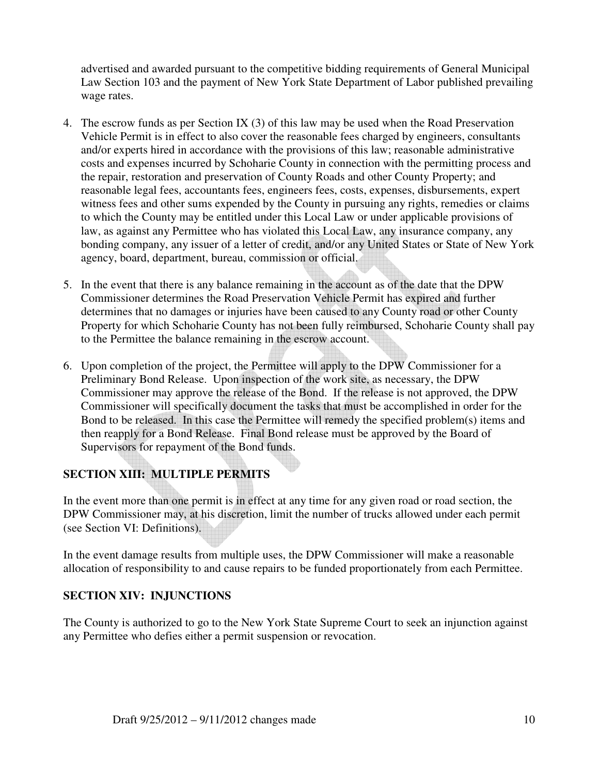advertised and awarded pursuant to the competitive bidding requirements of General Municipal Law Section 103 and the payment of New York State Department of Labor published prevailing wage rates.

- 4. The escrow funds as per Section IX (3) of this law may be used when the Road Preservation Vehicle Permit is in effect to also cover the reasonable fees charged by engineers, consultants and/or experts hired in accordance with the provisions of this law; reasonable administrative costs and expenses incurred by Schoharie County in connection with the permitting process and the repair, restoration and preservation of County Roads and other County Property; and reasonable legal fees, accountants fees, engineers fees, costs, expenses, disbursements, expert witness fees and other sums expended by the County in pursuing any rights, remedies or claims to which the County may be entitled under this Local Law or under applicable provisions of law, as against any Permittee who has violated this Local Law, any insurance company, any bonding company, any issuer of a letter of credit, and/or any United States or State of New York agency, board, department, bureau, commission or official.
- 5. In the event that there is any balance remaining in the account as of the date that the DPW Commissioner determines the Road Preservation Vehicle Permit has expired and further determines that no damages or injuries have been caused to any County road or other County Property for which Schoharie County has not been fully reimbursed, Schoharie County shall pay to the Permittee the balance remaining in the escrow account.
- 6. Upon completion of the project, the Permittee will apply to the DPW Commissioner for a Preliminary Bond Release. Upon inspection of the work site, as necessary, the DPW Commissioner may approve the release of the Bond. If the release is not approved, the DPW Commissioner will specifically document the tasks that must be accomplished in order for the Bond to be released. In this case the Permittee will remedy the specified problem(s) items and then reapply for a Bond Release. Final Bond release must be approved by the Board of Supervisors for repayment of the Bond funds.

# **SECTION XIII: MULTIPLE PERMITS**

In the event more than one permit is in effect at any time for any given road or road section, the DPW Commissioner may, at his discretion, limit the number of trucks allowed under each permit (see Section VI: Definitions).

In the event damage results from multiple uses, the DPW Commissioner will make a reasonable allocation of responsibility to and cause repairs to be funded proportionately from each Permittee.

# **SECTION XIV: INJUNCTIONS**

The County is authorized to go to the New York State Supreme Court to seek an injunction against any Permittee who defies either a permit suspension or revocation.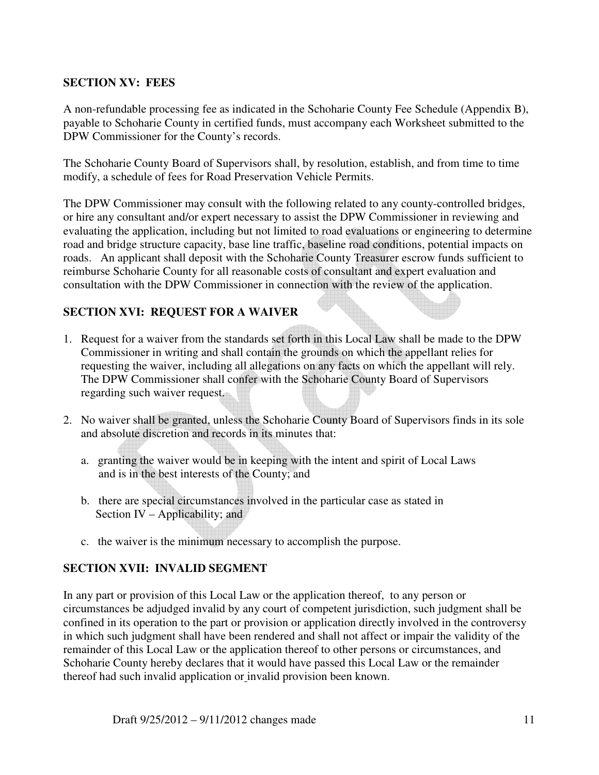#### **SECTION XV: FEES**

A non-refundable processing fee as indicated in the Schoharie County Fee Schedule (Appendix B), payable to Schoharie County in certified funds, must accompany each Worksheet submitted to the DPW Commissioner for the County's records.

The Schoharie County Board of Supervisors shall, by resolution, establish, and from time to time modify, a schedule of fees for Road Preservation Vehicle Permits.

The DPW Commissioner may consult with the following related to any county-controlled bridges, or hire any consultant and/or expert necessary to assist the DPW Commissioner in reviewing and evaluating the application, including but not limited to road evaluations or engineering to determine road and bridge structure capacity, base line traffic, baseline road conditions, potential impacts on roads. An applicant shall deposit with the Schoharie County Treasurer escrow funds sufficient to reimburse Schoharie County for all reasonable costs of consultant and expert evaluation and consultation with the DPW Commissioner in connection with the review of the application.

# **SECTION XVI: REQUEST FOR A WAIVER**

- 1. Request for a waiver from the standards set forth in this Local Law shall be made to the DPW Commissioner in writing and shall contain the grounds on which the appellant relies for requesting the waiver, including all allegations on any facts on which the appellant will rely. The DPW Commissioner shall confer with the Schoharie County Board of Supervisors regarding such waiver request.
- 2. No waiver shall be granted, unless the Schoharie County Board of Supervisors finds in its sole and absolute discretion and records in its minutes that:
	- a. granting the waiver would be in keeping with the intent and spirit of Local Laws and is in the best interests of the County; and
	- b. there are special circumstances involved in the particular case as stated in Section IV – Applicability; and
	- c. the waiver is the minimum necessary to accomplish the purpose.

#### **SECTION XVII: INVALID SEGMENT**

In any part or provision of this Local Law or the application thereof, to any person or circumstances be adjudged invalid by any court of competent jurisdiction, such judgment shall be confined in its operation to the part or provision or application directly involved in the controversy in which such judgment shall have been rendered and shall not affect or impair the validity of the remainder of this Local Law or the application thereof to other persons or circumstances, and Schoharie County hereby declares that it would have passed this Local Law or the remainder thereof had such invalid application or invalid provision been known.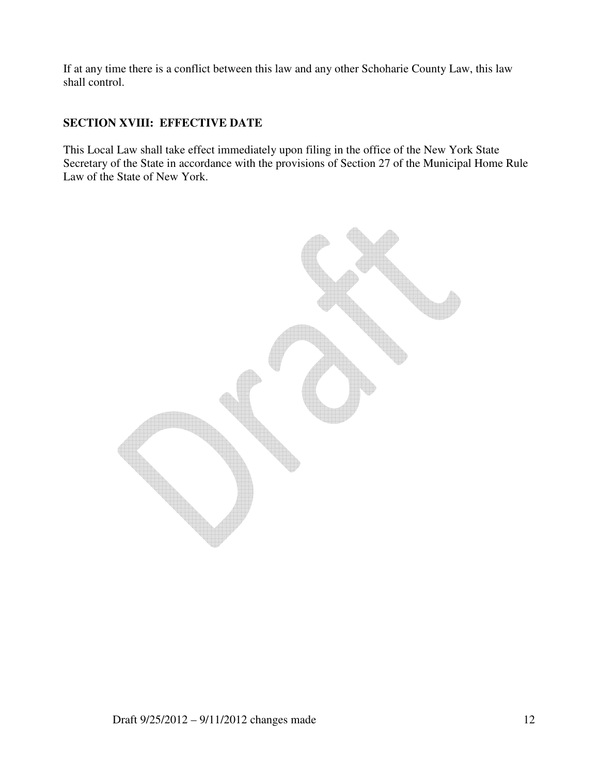If at any time there is a conflict between this law and any other Schoharie County Law, this law shall control.

# **SECTION XVIII: EFFECTIVE DATE**

This Local Law shall take effect immediately upon filing in the office of the New York State Secretary of the State in accordance with the provisions of Section 27 of the Municipal Home Rule Law of the State of New York.

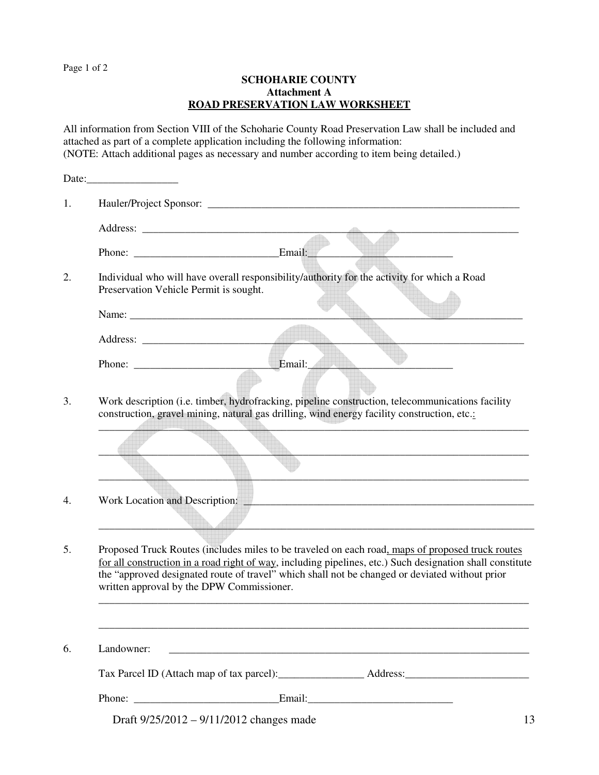Page 1 of 2

#### **SCHOHARIE COUNTY Attachment A ROAD PRESERVATION LAW WORKSHEET**

All information from Section VIII of the Schoharie County Road Preservation Law shall be included and attached as part of a complete application including the following information: (NOTE: Attach additional pages as necessary and number according to item being detailed.)

| 1. |                                                                                                                                                                                                                                                                                                                                                              |                                            |  |                                                                                                                       |    |  |
|----|--------------------------------------------------------------------------------------------------------------------------------------------------------------------------------------------------------------------------------------------------------------------------------------------------------------------------------------------------------------|--------------------------------------------|--|-----------------------------------------------------------------------------------------------------------------------|----|--|
|    |                                                                                                                                                                                                                                                                                                                                                              |                                            |  |                                                                                                                       |    |  |
|    |                                                                                                                                                                                                                                                                                                                                                              |                                            |  |                                                                                                                       |    |  |
| 2. | Individual who will have overall responsibility/authority for the activity for which a Road<br>Preservation Vehicle Permit is sought.                                                                                                                                                                                                                        |                                            |  |                                                                                                                       |    |  |
|    |                                                                                                                                                                                                                                                                                                                                                              |                                            |  |                                                                                                                       |    |  |
|    |                                                                                                                                                                                                                                                                                                                                                              |                                            |  |                                                                                                                       |    |  |
|    |                                                                                                                                                                                                                                                                                                                                                              |                                            |  |                                                                                                                       |    |  |
|    |                                                                                                                                                                                                                                                                                                                                                              |                                            |  |                                                                                                                       |    |  |
| 3. | Work description (i.e. timber, hydrofracking, pipeline construction, telecommunications facility<br>construction, gravel mining, natural gas drilling, wind energy facility construction, etc.:                                                                                                                                                              |                                            |  |                                                                                                                       |    |  |
|    |                                                                                                                                                                                                                                                                                                                                                              |                                            |  |                                                                                                                       |    |  |
| 4. |                                                                                                                                                                                                                                                                                                                                                              |                                            |  | Work Location and Description:                                                                                        |    |  |
| 5. | Proposed Truck Routes (includes miles to be traveled on each road, maps of proposed truck routes<br>for all construction in a road right of way, including pipelines, etc.) Such designation shall constitute<br>the "approved designated route of travel" which shall not be changed or deviated without prior<br>written approval by the DPW Commissioner. |                                            |  |                                                                                                                       |    |  |
|    |                                                                                                                                                                                                                                                                                                                                                              |                                            |  |                                                                                                                       |    |  |
| 6. | Landowner:                                                                                                                                                                                                                                                                                                                                                   |                                            |  | <u> 1989 - Johann Stoff, deutscher Stoff, der Stoff, der Stoff, der Stoff, der Stoff, der Stoff, der Stoff, der S</u> |    |  |
|    |                                                                                                                                                                                                                                                                                                                                                              |                                            |  |                                                                                                                       |    |  |
|    |                                                                                                                                                                                                                                                                                                                                                              |                                            |  |                                                                                                                       |    |  |
|    |                                                                                                                                                                                                                                                                                                                                                              | Draft $9/25/2012 - 9/11/2012$ changes made |  |                                                                                                                       | 13 |  |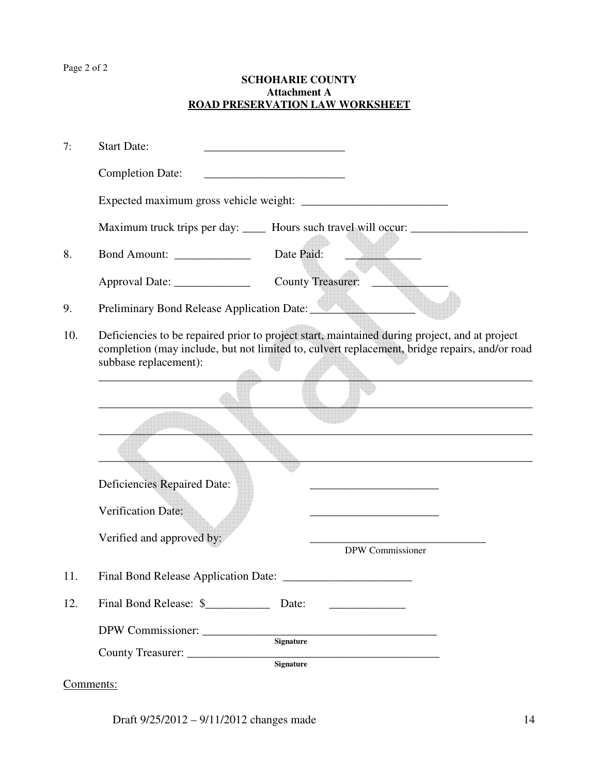# Page 2 of 2

#### **SCHOHARIE COUNTY Attachment A ROAD PRESERVATION LAW WORKSHEET**

| 7:  | <b>Start Date:</b>                                                                                                                                                                                                      |  |  |  |  |
|-----|-------------------------------------------------------------------------------------------------------------------------------------------------------------------------------------------------------------------------|--|--|--|--|
|     | <b>Completion Date:</b><br><u> 1989 - Johann John Harry Harry Harry Harry Harry Harry Harry Harry Harry Harry Harry Harry Harry Harry Harry</u>                                                                         |  |  |  |  |
|     |                                                                                                                                                                                                                         |  |  |  |  |
|     | Maximum truck trips per day: _____ Hours such travel will occur: _______________                                                                                                                                        |  |  |  |  |
| 8.  | Date Paid:<br>Bond Amount: _____________                                                                                                                                                                                |  |  |  |  |
|     | Approval Date: ______________<br><b>County Treasurer:</b>                                                                                                                                                               |  |  |  |  |
| 9.  | Preliminary Bond Release Application Date:                                                                                                                                                                              |  |  |  |  |
| 10. | Deficiencies to be repaired prior to project start, maintained during project, and at project<br>completion (may include, but not limited to, culvert replacement, bridge repairs, and/or road<br>subbase replacement): |  |  |  |  |
|     |                                                                                                                                                                                                                         |  |  |  |  |
|     |                                                                                                                                                                                                                         |  |  |  |  |
|     |                                                                                                                                                                                                                         |  |  |  |  |
|     | <b>Deficiencies Repaired Date:</b>                                                                                                                                                                                      |  |  |  |  |
|     | Verification Date:                                                                                                                                                                                                      |  |  |  |  |
|     | Verified and approved by:<br>DPW Commissioner                                                                                                                                                                           |  |  |  |  |
| 11. |                                                                                                                                                                                                                         |  |  |  |  |
| 12. | Final Bond Release: \$<br>Date:                                                                                                                                                                                         |  |  |  |  |
|     | DPW Commissioner:<br><b>Signature</b><br>County Treasurer:<br><b>Signature</b>                                                                                                                                          |  |  |  |  |

Comments:

Draft  $9/25/2012 - 9/11/2012$  changes made 14